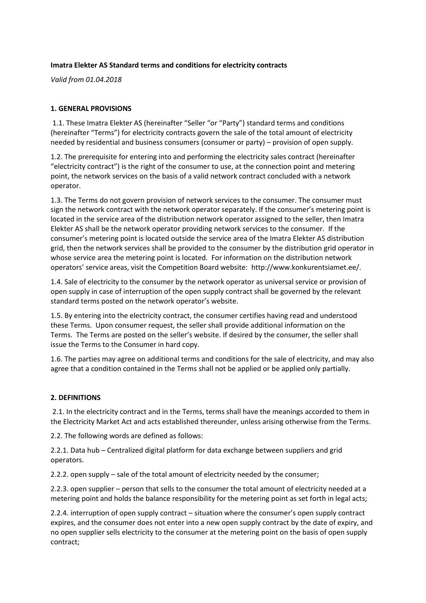## **Imatra Elekter AS Standard terms and conditions for electricity contracts**

*Valid from 01.04.2018*

## **1. GENERAL PROVISIONS**

1.1. These Imatra Elekter AS (hereinafter "Seller "or "Party") standard terms and conditions (hereinafter "Terms") for electricity contracts govern the sale of the total amount of electricity needed by residential and business consumers (consumer or party) – provision of open supply.

1.2. The prerequisite for entering into and performing the electricity sales contract (hereinafter "electricity contract") is the right of the consumer to use, at the connection point and metering point, the network services on the basis of a valid network contract concluded with a network operator.

1.3. The Terms do not govern provision of network services to the consumer. The consumer must sign the network contract with the network operator separately. If the consumer's metering point is located in the service area of the distribution network operator assigned to the seller, then Imatra Elekter AS shall be the network operator providing network services to the consumer. If the consumer's metering point is located outside the service area of the Imatra Elekter AS distribution grid, then the network services shall be provided to the consumer by the distribution grid operator in whose service area the metering point is located. For information on the distribution network operators' service areas, visit the Competition Board website: http://www.konkurentsiamet.ee/.

1.4. Sale of electricity to the consumer by the network operator as universal service or provision of open supply in case of interruption of the open supply contract shall be governed by the relevant standard terms posted on the network operator's website.

1.5. By entering into the electricity contract, the consumer certifies having read and understood these Terms. Upon consumer request, the seller shall provide additional information on the Terms. The Terms are posted on the seller's website. If desired by the consumer, the seller shall issue the Terms to the Consumer in hard copy.

1.6. The parties may agree on additional terms and conditions for the sale of electricity, and may also agree that a condition contained in the Terms shall not be applied or be applied only partially.

### **2. DEFINITIONS**

2.1. In the electricity contract and in the Terms, terms shall have the meanings accorded to them in the Electricity Market Act and acts established thereunder, unless arising otherwise from the Terms.

2.2. The following words are defined as follows:

2.2.1. Data hub – Centralized digital platform for data exchange between suppliers and grid operators.

2.2.2. open supply – sale of the total amount of electricity needed by the consumer;

2.2.3. open supplier – person that sells to the consumer the total amount of electricity needed at a metering point and holds the balance responsibility for the metering point as set forth in legal acts;

2.2.4. interruption of open supply contract – situation where the consumer's open supply contract expires, and the consumer does not enter into a new open supply contract by the date of expiry, and no open supplier sells electricity to the consumer at the metering point on the basis of open supply contract;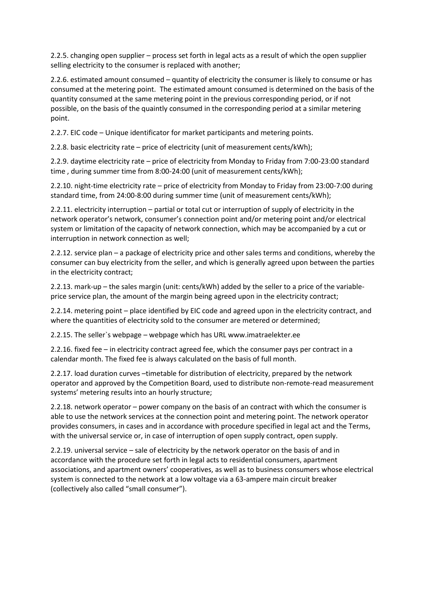2.2.5. changing open supplier – process set forth in legal acts as a result of which the open supplier selling electricity to the consumer is replaced with another;

2.2.6. estimated amount consumed – quantity of electricity the consumer is likely to consume or has consumed at the metering point. The estimated amount consumed is determined on the basis of the quantity consumed at the same metering point in the previous corresponding period, or if not possible, on the basis of the quaintly consumed in the corresponding period at a similar metering point.

2.2.7. EIC code – Unique identificator for market participants and metering points.

2.2.8. basic electricity rate – price of electricity (unit of measurement cents/kWh);

2.2.9. daytime electricity rate – price of electricity from Monday to Friday from 7:00-23:00 standard time , during summer time from 8:00-24:00 (unit of measurement cents/kWh);

2.2.10. night-time electricity rate – price of electricity from Monday to Friday from 23:00-7:00 during standard time, from 24:00-8:00 during summer time (unit of measurement cents/kWh);

2.2.11. electricity interruption – partial or total cut or interruption of supply of electricity in the network operator's network, consumer's connection point and/or metering point and/or electrical system or limitation of the capacity of network connection, which may be accompanied by a cut or interruption in network connection as well;

2.2.12. service plan – a package of electricity price and other sales terms and conditions, whereby the consumer can buy electricity from the seller, and which is generally agreed upon between the parties in the electricity contract;

2.2.13. mark-up – the sales margin (unit: cents/kWh) added by the seller to a price of the variableprice service plan, the amount of the margin being agreed upon in the electricity contract;

2.2.14. metering point – place identified by EIC code and agreed upon in the electricity contract, and where the quantities of electricity sold to the consumer are metered or determined;

2.2.15. The seller`s webpage – webpage which has URL www.imatraelekter.ee

2.2.16. fixed fee – in electricity contract agreed fee, which the consumer pays per contract in a calendar month. The fixed fee is always calculated on the basis of full month.

2.2.17. load duration curves –timetable for distribution of electricity, prepared by the network operator and approved by the Competition Board, used to distribute non-remote-read measurement systems' metering results into an hourly structure;

2.2.18. network operator – power company on the basis of an contract with which the consumer is able to use the network services at the connection point and metering point. The network operator provides consumers, in cases and in accordance with procedure specified in legal act and the Terms, with the universal service or, in case of interruption of open supply contract, open supply.

2.2.19. universal service – sale of electricity by the network operator on the basis of and in accordance with the procedure set forth in legal acts to residential consumers, apartment associations, and apartment owners' cooperatives, as well as to business consumers whose electrical system is connected to the network at a low voltage via a 63-ampere main circuit breaker (collectively also called "small consumer").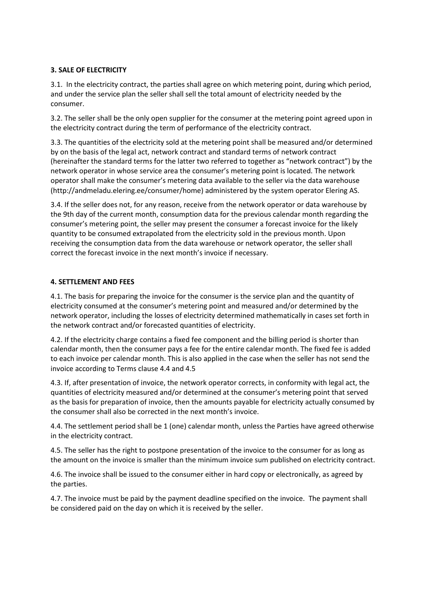# **3. SALE OF ELECTRICITY**

3.1. In the electricity contract, the parties shall agree on which metering point, during which period, and under the service plan the seller shall sell the total amount of electricity needed by the consumer.

3.2. The seller shall be the only open supplier for the consumer at the metering point agreed upon in the electricity contract during the term of performance of the electricity contract.

3.3. The quantities of the electricity sold at the metering point shall be measured and/or determined by on the basis of the legal act, network contract and standard terms of network contract (hereinafter the standard terms for the latter two referred to together as "network contract") by the network operator in whose service area the consumer's metering point is located. The network operator shall make the consumer's metering data available to the seller via the data warehouse [\(http://andmeladu.elering.ee/consumer/home\)](http://andmeladu.elering.ee/consumer/home) administered by the system operator Elering AS.

3.4. If the seller does not, for any reason, receive from the network operator or data warehouse by the 9th day of the current month, consumption data for the previous calendar month regarding the consumer's metering point, the seller may present the consumer a forecast invoice for the likely quantity to be consumed extrapolated from the electricity sold in the previous month. Upon receiving the consumption data from the data warehouse or network operator, the seller shall correct the forecast invoice in the next month's invoice if necessary.

## **4. SETTLEMENT AND FEES**

4.1. The basis for preparing the invoice for the consumer is the service plan and the quantity of electricity consumed at the consumer's metering point and measured and/or determined by the network operator, including the losses of electricity determined mathematically in cases set forth in the network contract and/or forecasted quantities of electricity.

4.2. If the electricity charge contains a fixed fee component and the billing period is shorter than calendar month, then the consumer pays a fee for the entire calendar month. The fixed fee is added to each invoice per calendar month. This is also applied in the case when the seller has not send the invoice according to Terms clause 4.4 and 4.5

4.3. If, after presentation of invoice, the network operator corrects, in conformity with legal act, the quantities of electricity measured and/or determined at the consumer's metering point that served as the basis for preparation of invoice, then the amounts payable for electricity actually consumed by the consumer shall also be corrected in the next month's invoice.

4.4. The settlement period shall be 1 (one) calendar month, unless the Parties have agreed otherwise in the electricity contract.

4.5. The seller has the right to postpone presentation of the invoice to the consumer for as long as the amount on the invoice is smaller than the minimum invoice sum published on electricity contract.

4.6. The invoice shall be issued to the consumer either in hard copy or electronically, as agreed by the parties.

4.7. The invoice must be paid by the payment deadline specified on the invoice. The payment shall be considered paid on the day on which it is received by the seller.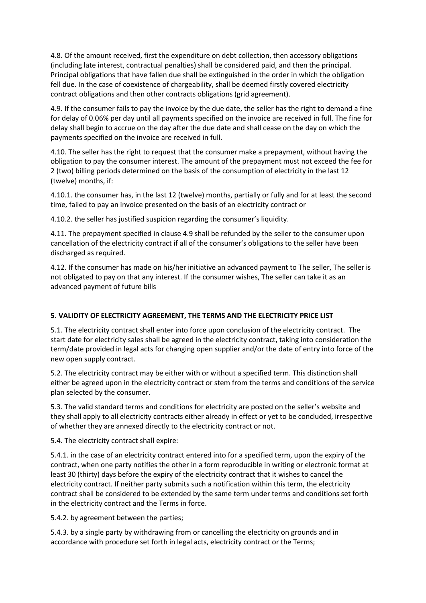4.8. Of the amount received, first the expenditure on debt collection, then accessory obligations (including late interest, contractual penalties) shall be considered paid, and then the principal. Principal obligations that have fallen due shall be extinguished in the order in which the obligation fell due. In the case of coexistence of chargeability, shall be deemed firstly covered electricity contract obligations and then other contracts obligations (grid agreement).

4.9. If the consumer fails to pay the invoice by the due date, the seller has the right to demand a fine for delay of 0.06% per day until all payments specified on the invoice are received in full. The fine for delay shall begin to accrue on the day after the due date and shall cease on the day on which the payments specified on the invoice are received in full.

4.10. The seller has the right to request that the consumer make a prepayment, without having the obligation to pay the consumer interest. The amount of the prepayment must not exceed the fee for 2 (two) billing periods determined on the basis of the consumption of electricity in the last 12 (twelve) months, if:

4.10.1. the consumer has, in the last 12 (twelve) months, partially or fully and for at least the second time, failed to pay an invoice presented on the basis of an electricity contract or

4.10.2. the seller has justified suspicion regarding the consumer's liquidity.

4.11. The prepayment specified in clause 4.9 shall be refunded by the seller to the consumer upon cancellation of the electricity contract if all of the consumer's obligations to the seller have been discharged as required.

4.12. If the consumer has made on his/her initiative an advanced payment to The seller, The seller is not obligated to pay on that any interest. If the consumer wishes, The seller can take it as an advanced payment of future bills

# **5. VALIDITY OF ELECTRICITY AGREEMENT, THE TERMS AND THE ELECTRICITY PRICE LIST**

5.1. The electricity contract shall enter into force upon conclusion of the electricity contract. The start date for electricity sales shall be agreed in the electricity contract, taking into consideration the term/date provided in legal acts for changing open supplier and/or the date of entry into force of the new open supply contract.

5.2. The electricity contract may be either with or without a specified term. This distinction shall either be agreed upon in the electricity contract or stem from the terms and conditions of the service plan selected by the consumer.

5.3. The valid standard terms and conditions for electricity are posted on the seller's website and they shall apply to all electricity contracts either already in effect or yet to be concluded, irrespective of whether they are annexed directly to the electricity contract or not.

5.4. The electricity contract shall expire:

5.4.1. in the case of an electricity contract entered into for a specified term, upon the expiry of the contract, when one party notifies the other in a form reproducible in writing or electronic format at least 30 (thirty) days before the expiry of the electricity contract that it wishes to cancel the electricity contract. If neither party submits such a notification within this term, the electricity contract shall be considered to be extended by the same term under terms and conditions set forth in the electricity contract and the Terms in force.

5.4.2. by agreement between the parties;

5.4.3. by a single party by withdrawing from or cancelling the electricity on grounds and in accordance with procedure set forth in legal acts, electricity contract or the Terms;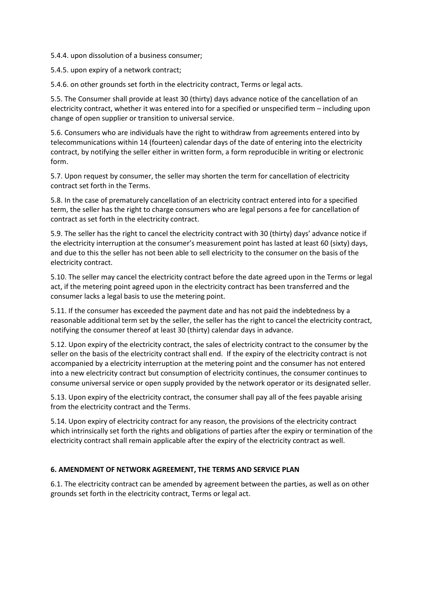5.4.4. upon dissolution of a business consumer;

5.4.5. upon expiry of a network contract;

5.4.6. on other grounds set forth in the electricity contract, Terms or legal acts.

5.5. The Consumer shall provide at least 30 (thirty) days advance notice of the cancellation of an electricity contract, whether it was entered into for a specified or unspecified term – including upon change of open supplier or transition to universal service.

5.6. Consumers who are individuals have the right to withdraw from agreements entered into by telecommunications within 14 (fourteen) calendar days of the date of entering into the electricity contract, by notifying the seller either in written form, a form reproducible in writing or electronic form.

5.7. Upon request by consumer, the seller may shorten the term for cancellation of electricity contract set forth in the Terms.

5.8. In the case of prematurely cancellation of an electricity contract entered into for a specified term, the seller has the right to charge consumers who are legal persons a fee for cancellation of contract as set forth in the electricity contract.

5.9. The seller has the right to cancel the electricity contract with 30 (thirty) days' advance notice if the electricity interruption at the consumer's measurement point has lasted at least 60 (sixty) days, and due to this the seller has not been able to sell electricity to the consumer on the basis of the electricity contract.

5.10. The seller may cancel the electricity contract before the date agreed upon in the Terms or legal act, if the metering point agreed upon in the electricity contract has been transferred and the consumer lacks a legal basis to use the metering point.

5.11. If the consumer has exceeded the payment date and has not paid the indebtedness by a reasonable additional term set by the seller, the seller has the right to cancel the electricity contract, notifying the consumer thereof at least 30 (thirty) calendar days in advance.

5.12. Upon expiry of the electricity contract, the sales of electricity contract to the consumer by the seller on the basis of the electricity contract shall end. If the expiry of the electricity contract is not accompanied by a electricity interruption at the metering point and the consumer has not entered into a new electricity contract but consumption of electricity continues, the consumer continues to consume universal service or open supply provided by the network operator or its designated seller.

5.13. Upon expiry of the electricity contract, the consumer shall pay all of the fees payable arising from the electricity contract and the Terms.

5.14. Upon expiry of electricity contract for any reason, the provisions of the electricity contract which intrinsically set forth the rights and obligations of parties after the expiry or termination of the electricity contract shall remain applicable after the expiry of the electricity contract as well.

# **6. AMENDMENT OF NETWORK AGREEMENT, THE TERMS AND SERVICE PLAN**

6.1. The electricity contract can be amended by agreement between the parties, as well as on other grounds set forth in the electricity contract, Terms or legal act.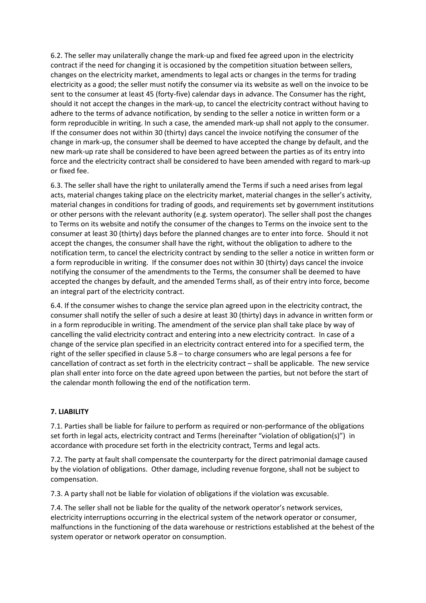6.2. The seller may unilaterally change the mark-up and fixed fee agreed upon in the electricity contract if the need for changing it is occasioned by the competition situation between sellers, changes on the electricity market, amendments to legal acts or changes in the terms for trading electricity as a good; the seller must notify the consumer via its website as well on the invoice to be sent to the consumer at least 45 (forty-five) calendar days in advance. The Consumer has the right, should it not accept the changes in the mark-up, to cancel the electricity contract without having to adhere to the terms of advance notification, by sending to the seller a notice in written form or a form reproducible in writing. In such a case, the amended mark-up shall not apply to the consumer. If the consumer does not within 30 (thirty) days cancel the invoice notifying the consumer of the change in mark-up, the consumer shall be deemed to have accepted the change by default, and the new mark-up rate shall be considered to have been agreed between the parties as of its entry into force and the electricity contract shall be considered to have been amended with regard to mark-up or fixed fee.

6.3. The seller shall have the right to unilaterally amend the Terms if such a need arises from legal acts, material changes taking place on the electricity market, material changes in the seller's activity, material changes in conditions for trading of goods, and requirements set by government institutions or other persons with the relevant authority (e.g. system operator). The seller shall post the changes to Terms on its website and notify the consumer of the changes to Terms on the invoice sent to the consumer at least 30 (thirty) days before the planned changes are to enter into force. Should it not accept the changes, the consumer shall have the right, without the obligation to adhere to the notification term, to cancel the electricity contract by sending to the seller a notice in written form or a form reproducible in writing. If the consumer does not within 30 (thirty) days cancel the invoice notifying the consumer of the amendments to the Terms, the consumer shall be deemed to have accepted the changes by default, and the amended Terms shall, as of their entry into force, become an integral part of the electricity contract.

6.4. If the consumer wishes to change the service plan agreed upon in the electricity contract, the consumer shall notify the seller of such a desire at least 30 (thirty) days in advance in written form or in a form reproducible in writing. The amendment of the service plan shall take place by way of cancelling the valid electricity contract and entering into a new electricity contract. In case of a change of the service plan specified in an electricity contract entered into for a specified term, the right of the seller specified in clause 5.8 – to charge consumers who are legal persons a fee for cancellation of contract as set forth in the electricity contract – shall be applicable. The new service plan shall enter into force on the date agreed upon between the parties, but not before the start of the calendar month following the end of the notification term.

### **7. LIABILITY**

7.1. Parties shall be liable for failure to perform as required or non-performance of the obligations set forth in legal acts, electricity contract and Terms (hereinafter "violation of obligation(s)") in accordance with procedure set forth in the electricity contract, Terms and legal acts.

7.2. The party at fault shall compensate the counterparty for the direct patrimonial damage caused by the violation of obligations. Other damage, including revenue forgone, shall not be subject to compensation.

7.3. A party shall not be liable for violation of obligations if the violation was excusable.

7.4. The seller shall not be liable for the quality of the network operator's network services, electricity interruptions occurring in the electrical system of the network operator or consumer, malfunctions in the functioning of the data warehouse or restrictions established at the behest of the system operator or network operator on consumption.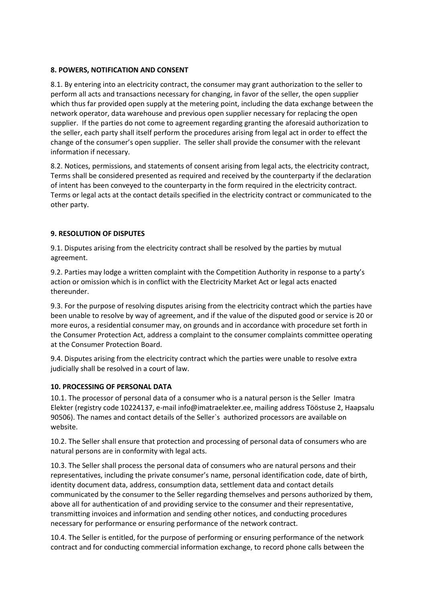## **8. POWERS, NOTIFICATION AND CONSENT**

8.1. By entering into an electricity contract, the consumer may grant authorization to the seller to perform all acts and transactions necessary for changing, in favor of the seller, the open supplier which thus far provided open supply at the metering point, including the data exchange between the network operator, data warehouse and previous open supplier necessary for replacing the open supplier. If the parties do not come to agreement regarding granting the aforesaid authorization to the seller, each party shall itself perform the procedures arising from legal act in order to effect the change of the consumer's open supplier. The seller shall provide the consumer with the relevant information if necessary.

8.2. Notices, permissions, and statements of consent arising from legal acts, the electricity contract, Terms shall be considered presented as required and received by the counterparty if the declaration of intent has been conveyed to the counterparty in the form required in the electricity contract. Terms or legal acts at the contact details specified in the electricity contract or communicated to the other party.

## **9. RESOLUTION OF DISPUTES**

9.1. Disputes arising from the electricity contract shall be resolved by the parties by mutual agreement.

9.2. Parties may lodge a written complaint with the Competition Authority in response to a party's action or omission which is in conflict with the Electricity Market Act or legal acts enacted thereunder.

9.3. For the purpose of resolving disputes arising from the electricity contract which the parties have been unable to resolve by way of agreement, and if the value of the disputed good or service is 20 or more euros, a residential consumer may, on grounds and in accordance with procedure set forth in the Consumer Protection Act, address a complaint to the consumer complaints committee operating at the Consumer Protection Board.

9.4. Disputes arising from the electricity contract which the parties were unable to resolve extra judicially shall be resolved in a court of law.

### **10. PROCESSING OF PERSONAL DATA**

10.1. The processor of personal data of a consumer who is a natural person is the Seller Imatra Elekter (registry code 10224137, e-mail info@imatraelekter.ee, mailing address Tööstuse 2, Haapsalu 90506). The names and contact details of the Seller`s authorized processors are available on website.

10.2. The Seller shall ensure that protection and processing of personal data of consumers who are natural persons are in conformity with legal acts.

10.3. The Seller shall process the personal data of consumers who are natural persons and their representatives, including the private consumer's name, personal identification code, date of birth, identity document data, address, consumption data, settlement data and contact details communicated by the consumer to the Seller regarding themselves and persons authorized by them, above all for authentication of and providing service to the consumer and their representative, transmitting invoices and information and sending other notices, and conducting procedures necessary for performance or ensuring performance of the network contract.

10.4. The Seller is entitled, for the purpose of performing or ensuring performance of the network contract and for conducting commercial information exchange, to record phone calls between the